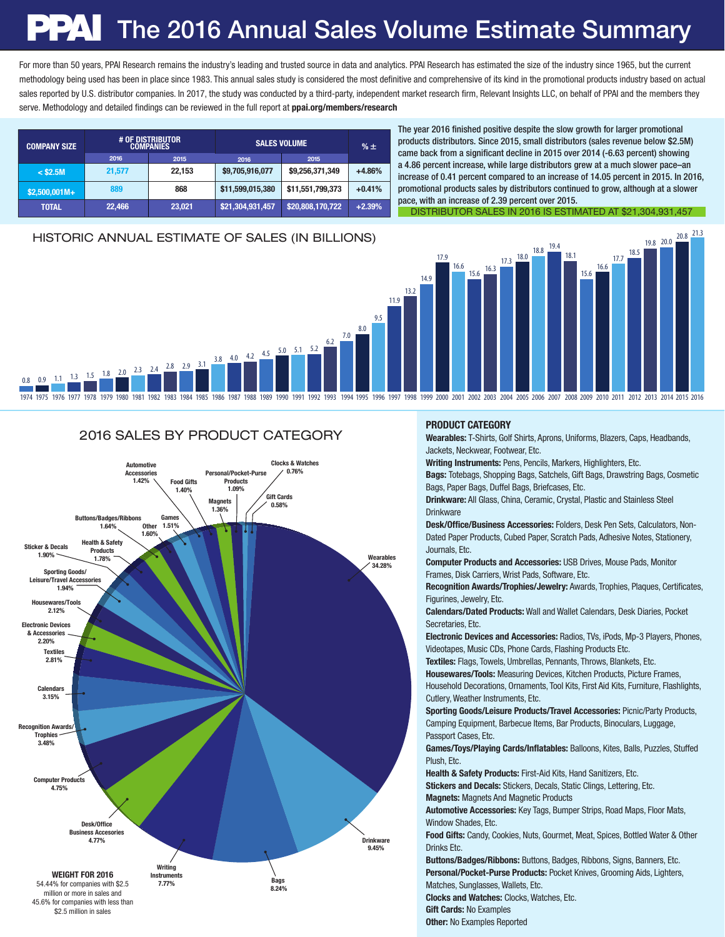# PAI The 2016 Annual Sales Volume Estimate Summary

For more than 50 years, PPAI Research remains the industry's leading and trusted source in data and analytics. PPAI Research has estimated the size of the industry since 1965, but the current methodology being used has been in place since 1983. This annual sales study is considered the most definitive and comprehensive of its kind in the promotional products industry based on actual sales reported by U.S. distributor companies. In 2017, the study was conducted by a third-party, independent market research firm, Relevant Insights LLC, on behalf of PPAI and the members they serve. Methodology and detailed findings can be reviewed in the full report at **ppai.org/members/research** 

| <b>COMPANY SIZE</b> | # OF DISTRIBUTOR<br><b>COMPANIES</b> |        | <b>SALES VOLUME</b> |                  | $% \pm$  |  |
|---------------------|--------------------------------------|--------|---------------------|------------------|----------|--|
|                     | 2016                                 | 2015   | 2016                | 2015             |          |  |
| $<$ \$2.5M          | 21,577                               | 22.153 | \$9,705,916,077     | \$9,256,371,349  | $+4.86%$ |  |
| $$2,500,001M+$      | 889                                  | 868    | \$11,599,015,380    | \$11,551,799,373 | $+0.41%$ |  |
| <b>TOTAL</b>        | 22,466                               | 23,021 | \$21,304,931,457    | \$20,808,170,722 | $+2.39%$ |  |

The year 2016 finished positive despite the slow growth for larger promotional products distributors. Since 2015, small distributors (sales revenue below \$2.5M) came back from a significant decline in 2015 over 2014 (-6.63 percent) showing a 4.86 percent increase, while large distributors grew at a much slower pace–an increase of 0.41 percent compared to an increase of 14.05 percent in 2015. In 2016, promotional products sales by distributors continued to grow, although at a slower pace, with an increase of 2.39 percent over 2015. DISTRIBUTOR SALES IN 2016 IS ESTIMATED AT \$21,304,931,457

19.8 20.0

20.8 21.3 HISTORIC ANNUAL ESTIMATE OF SALES (IN BILLIONS)



#### 2016 SALES BY PRODUCT CATEGORY



#### PRODUCT CATEGORY

Wearables: T-Shirts, Golf Shirts, Aprons, Uniforms, Blazers, Caps, Headbands, Jackets, Neckwear, Footwear, Etc.

Writing Instruments: Pens, Pencils, Markers, Highlighters, Etc.

Bags: Totebags, Shopping Bags, Satchels, Gift Bags, Drawstring Bags, Cosmetic Bags, Paper Bags, Duffel Bags, Briefcases, Etc.

Drinkware: All Glass, China, Ceramic, Crystal, Plastic and Stainless Steel **Drinkware** 

Desk/Office/Business Accessories: Folders, Desk Pen Sets, Calculators, Non-Dated Paper Products, Cubed Paper, Scratch Pads, Adhesive Notes, Stationery, Journals, Etc.

Computer Products and Accessories: USB Drives, Mouse Pads, Monitor Frames, Disk Carriers, Wrist Pads, Software, Etc.

Recognition Awards/Trophies/Jewelry: Awards, Trophies, Plaques, Certificates, Figurines, Jewelry, Etc.

Calendars/Dated Products: Wall and Wallet Calendars, Desk Diaries, Pocket Secretaries, Etc.

Electronic Devices and Accessories: Radios, TVs, iPods, Mp-3 Players, Phones, Videotapes, Music CDs, Phone Cards, Flashing Products Etc.

Textiles: Flags, Towels, Umbrellas, Pennants, Throws, Blankets, Etc.

Housewares/Tools: Measuring Devices, Kitchen Products, Picture Frames, Household Decorations, Ornaments, Tool Kits, First Aid Kits, Furniture, Flashlights, Cutlery, Weather Instruments, Etc.

Sporting Goods/Leisure Products/Travel Accessories: Picnic/Party Products, Camping Equipment, Barbecue Items, Bar Products, Binoculars, Luggage, Passport Cases, Etc.

Games/Toys/Playing Cards/Inflatables: Balloons, Kites, Balls, Puzzles, Stuffed Plush, Etc.

Health & Safety Products: First-Aid Kits, Hand Sanitizers, Etc.

Stickers and Decals: Stickers, Decals, Static Clings, Lettering, Etc. Magnets: Magnets And Magnetic Products

Automotive Accessories: Key Tags, Bumper Strips, Road Maps, Floor Mats, Window Shades, Ftc.

Food Gifts: Candy, Cookies, Nuts, Gourmet, Meat, Spices, Bottled Water & Other Drinks Etc.

Buttons/Badges/Ribbons: Buttons, Badges, Ribbons, Signs, Banners, Etc. Personal/Pocket-Purse Products: Pocket Knives, Grooming Aids, Lighters, Matches, Sunglasses, Wallets, Etc.

Clocks and Watches: Clocks, Watches, Etc. Gift Cards: No Examples

**Other: No Examples Reported**